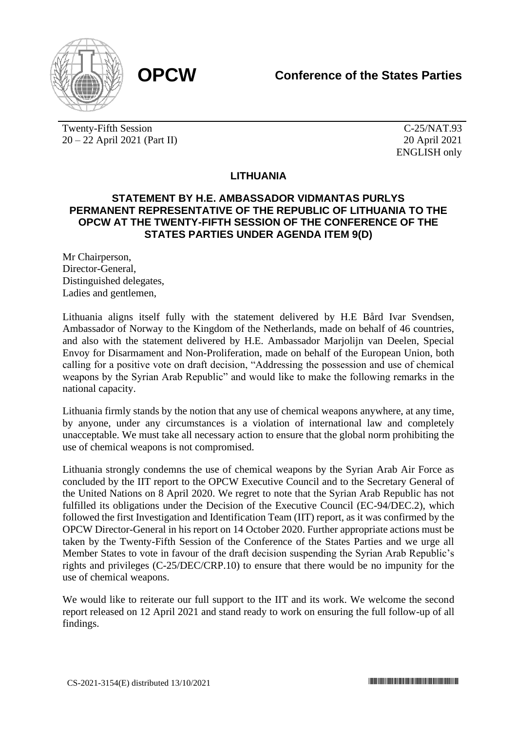

Twenty-Fifth Session 20 – 22 April 2021 (Part II)

C-25/NAT.93 20 April 2021 ENGLISH only

## **LITHUANIA**

## **STATEMENT BY H.E. AMBASSADOR VIDMANTAS PURLYS PERMANENT REPRESENTATIVE OF THE REPUBLIC OF LITHUANIA TO THE OPCW AT THE TWENTY-FIFTH SESSION OF THE CONFERENCE OF THE STATES PARTIES UNDER AGENDA ITEM 9(D)**

Mr Chairperson, Director-General, Distinguished delegates, Ladies and gentlemen,

Lithuania aligns itself fully with the statement delivered by H.E Bård Ivar Svendsen, Ambassador of Norway to the Kingdom of the Netherlands, made on behalf of 46 countries, and also with the statement delivered by H.E. Ambassador Marjolijn van Deelen, Special Envoy for Disarmament and Non-Proliferation, made on behalf of the European Union, both calling for a positive vote on draft decision, "Addressing the possession and use of chemical weapons by the Syrian Arab Republic" and would like to make the following remarks in the national capacity.

Lithuania firmly stands by the notion that any use of chemical weapons anywhere, at any time, by anyone, under any circumstances is a violation of international law and completely unacceptable. We must take all necessary action to ensure that the global norm prohibiting the use of chemical weapons is not compromised.

Lithuania strongly condemns the use of chemical weapons by the Syrian Arab Air Force as concluded by the IIT report to the OPCW Executive Council and to the Secretary General of the United Nations on 8 April 2020. We regret to note that the Syrian Arab Republic has not fulfilled its obligations under the Decision of the Executive Council (EC-94/DEC.2), which followed the first Investigation and Identification Team (IIT) report, as it was confirmed by the OPCW Director-General in his report on 14 October 2020. Further appropriate actions must be taken by the Twenty-Fifth Session of the Conference of the States Parties and we urge all Member States to vote in favour of the draft decision suspending the Syrian Arab Republic's rights and privileges (C-25/DEC/CRP.10) to ensure that there would be no impunity for the use of chemical weapons.

We would like to reiterate our full support to the IIT and its work. We welcome the second report released on 12 April 2021 and stand ready to work on ensuring the full follow-up of all findings.